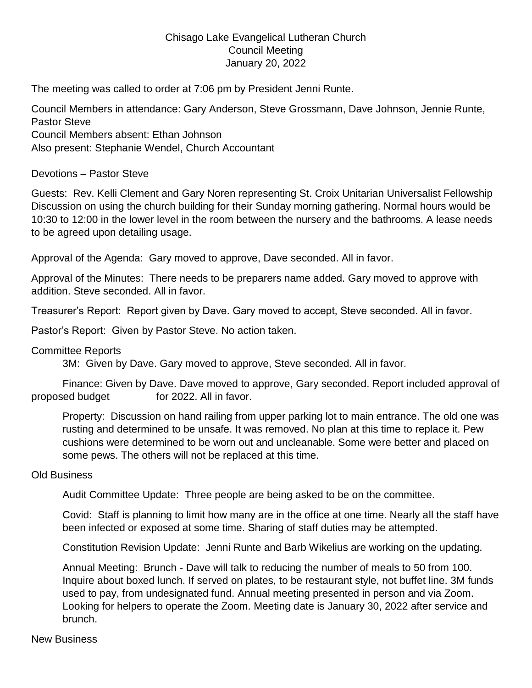## Chisago Lake Evangelical Lutheran Church Council Meeting January 20, 2022

The meeting was called to order at 7:06 pm by President Jenni Runte.

Council Members in attendance: Gary Anderson, Steve Grossmann, Dave Johnson, Jennie Runte, Pastor Steve Council Members absent: Ethan Johnson Also present: Stephanie Wendel, Church Accountant

Devotions – Pastor Steve

Guests: Rev. Kelli Clement and Gary Noren representing St. Croix Unitarian Universalist Fellowship Discussion on using the church building for their Sunday morning gathering. Normal hours would be 10:30 to 12:00 in the lower level in the room between the nursery and the bathrooms. A lease needs to be agreed upon detailing usage.

Approval of the Agenda: Gary moved to approve, Dave seconded. All in favor.

Approval of the Minutes: There needs to be preparers name added. Gary moved to approve with addition. Steve seconded. All in favor.

Treasurer's Report: Report given by Dave. Gary moved to accept, Steve seconded. All in favor.

Pastor's Report: Given by Pastor Steve. No action taken.

Committee Reports

3M: Given by Dave. Gary moved to approve, Steve seconded. All in favor.

Finance: Given by Dave. Dave moved to approve, Gary seconded. Report included approval of proposed budget for 2022. All in favor.

Property: Discussion on hand railing from upper parking lot to main entrance. The old one was rusting and determined to be unsafe. It was removed. No plan at this time to replace it. Pew cushions were determined to be worn out and uncleanable. Some were better and placed on some pews. The others will not be replaced at this time.

## Old Business

Audit Committee Update: Three people are being asked to be on the committee.

Covid: Staff is planning to limit how many are in the office at one time. Nearly all the staff have been infected or exposed at some time. Sharing of staff duties may be attempted.

Constitution Revision Update: Jenni Runte and Barb Wikelius are working on the updating.

Annual Meeting: Brunch - Dave will talk to reducing the number of meals to 50 from 100. Inquire about boxed lunch. If served on plates, to be restaurant style, not buffet line. 3M funds used to pay, from undesignated fund. Annual meeting presented in person and via Zoom. Looking for helpers to operate the Zoom. Meeting date is January 30, 2022 after service and brunch.